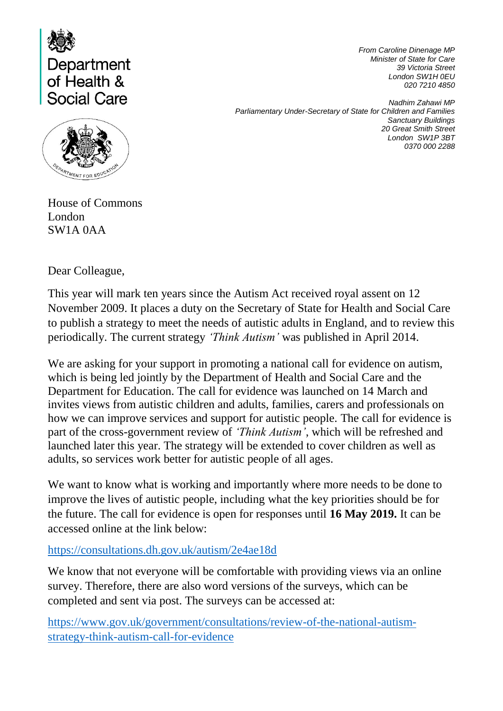

**ARTMENT FOR EDU** 

*From Caroline Dinenage MP Minister of State for Care 39 Victoria Street London SW1H 0EU 020 7210 4850*

*Nadhim Zahawi MP Parliamentary Under-Secretary of State for Children and Families Sanctuary Buildings 20 Great Smith Street London SW1P 3BT 0370 000 2288*

House of Commons London SW1A 0AA

Dear Colleague,

This year will mark ten years since the Autism Act received royal assent on 12 November 2009. It places a duty on the Secretary of State for Health and Social Care to publish a strategy to meet the needs of autistic adults in England, and to review this periodically. The current strategy *'Think Autism'* was published in April 2014.

We are asking for your support in promoting a national call for evidence on autism, which is being led jointly by the Department of Health and Social Care and the Department for Education. The call for evidence was launched on 14 March and invites views from autistic children and adults, families, carers and professionals on how we can improve services and support for autistic people. The call for evidence is part of the cross-government review of *'Think Autism'*, which will be refreshed and launched later this year. The strategy will be extended to cover children as well as adults, so services work better for autistic people of all ages.

We want to know what is working and importantly where more needs to be done to improve the lives of autistic people, including what the key priorities should be for the future. The call for evidence is open for responses until **16 May 2019.** It can be accessed online at the link below:

<https://consultations.dh.gov.uk/autism/2e4ae18d>

We know that not everyone will be comfortable with providing views via an online survey. Therefore, there are also word versions of the surveys, which can be completed and sent via post. The surveys can be accessed at:

[https://www.gov.uk/government/consultations/review-of-the-national-autism](https://www.gov.uk/government/consultations/review-of-the-national-autism-strategy-think-autism-call-for-evidence)[strategy-think-autism-call-for-evidence](https://www.gov.uk/government/consultations/review-of-the-national-autism-strategy-think-autism-call-for-evidence)